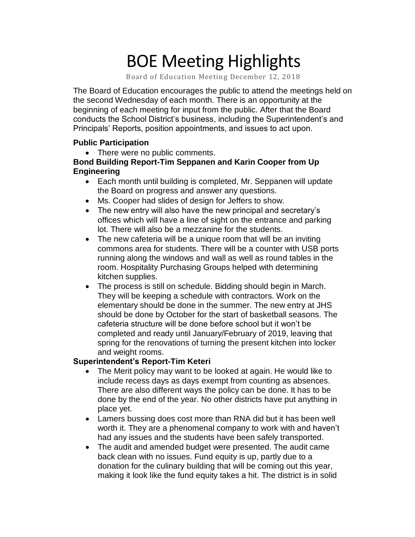# BOE Meeting Highlights

Board of Education Meeting December 12, 2018

The Board of Education encourages the public to attend the meetings held on the second Wednesday of each month. There is an opportunity at the beginning of each meeting for input from the public. After that the Board conducts the School District's business, including the Superintendent's and Principals' Reports, position appointments, and issues to act upon.

#### **Public Participation**

• There were no public comments.

#### **Bond Building Report-Tim Seppanen and Karin Cooper from Up Engineering**

- Each m onth until building is completed, Mr. Seppanen will update the Boa rd on progress and answer any questions.
- Ms. Co oper had slides of design for Jeffers to show.
- The new entry will also have the new principal and secretary's offices which will have a line of sight on the entrance and parking lot. There will also be a mezzanine for the students.
- The new cafeteria will be a unique room that will be an inviting commons area for students. There will be a counter with USB ports running along the windows and wall as well as round tables in the room. Hospitality Purchasing Groups helped with determining kitchen supplies.
- The process is still on schedule. Bidding should begin in March. They will be keeping a schedule with contractors. Work on the elementary should be done in the summer. The new entry at JHS should be done by October for the start of basketball seasons. The cafeteria structure will be done before school but it won't be completed and ready until January/February of 2019, leaving that spring for the renovations of turning the present kitchen into locker and weight rooms.

#### **Superintendent's Report-Tim Keteri**

- The Merit policy may want to be looked at again. He would like to include recess days as days exempt from counting as absences. There are also different ways the policy can be done. It has to be done by the end of the year. No other districts have put anything in place yet.
- Lamers bussing does cost more than RNA did but it has been well worth it. They are a phenomenal company to work with and haven't had any issues and the students have been safely transported.
- The audit and amended budget were presented. The audit came back clean with no issues. Fund equity is up, partly due to a donation for the culinary building that will be coming out this year, making it look like the fund equity takes a hit. The district is in solid